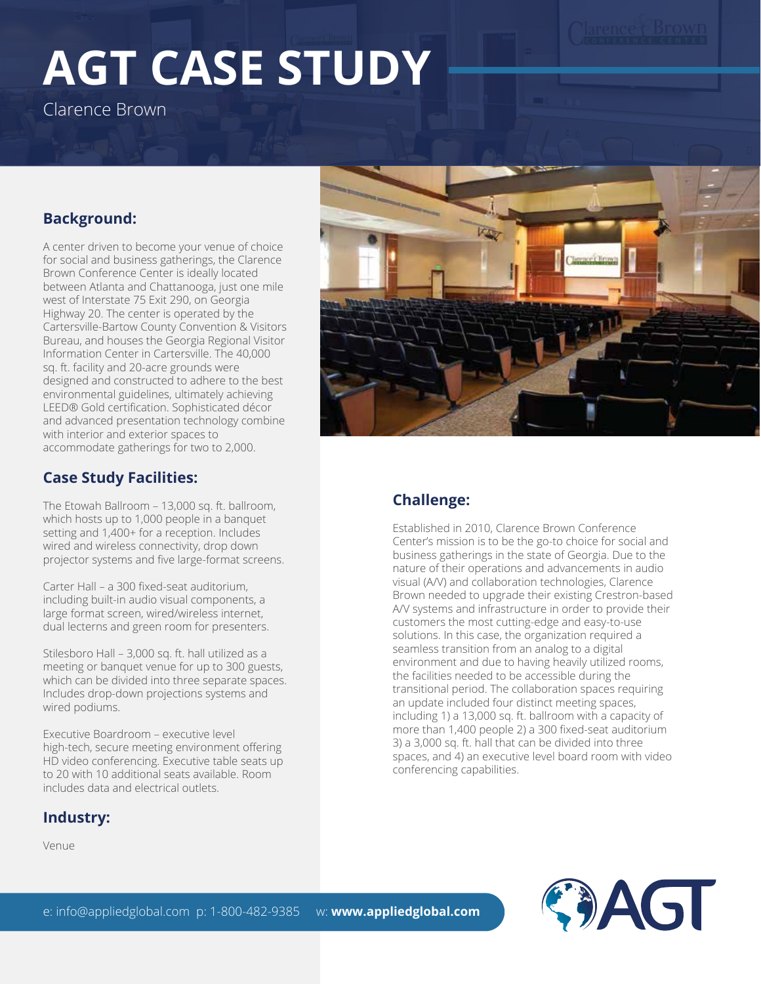# **AGT CASE STUDY**

Clarence Brown

# **Background:**

A center driven to become your venue of choice for social and business gatherings, the Clarence Brown Conference Center is ideally located between Atlanta and Chattanooga, just one mile west of Interstate 75 Exit 290, on Georgia Highway 20. The center is operated by the Cartersville-Bartow County Convention & Visitors Bureau, and houses the Georgia Regional Visitor Information Center in Cartersville. The 40,000 sq. ft. facility and 20-acre grounds were designed and constructed to adhere to the best environmental guidelines, ultimately achieving LEED® Gold certification. Sophisticated décor and advanced presentation technology combine with interior and exterior spaces to accommodate gatherings for two to 2,000.

### **Case Study Facilities:**

The Etowah Ballroom – 13,000 sq. ft. ballroom, which hosts up to 1,000 people in a banquet setting and 1,400+ for a reception. Includes wired and wireless connectivity, drop down projector systems and five large-format screens.

Carter Hall – a 300 fixed-seat auditorium, including built-in audio visual components, a large format screen, wired/wireless internet, dual lecterns and green room for presenters.

Stilesboro Hall – 3,000 sq. ft. hall utilized as a meeting or banquet venue for up to 300 guests, which can be divided into three separate spaces. Includes drop-down projections systems and wired podiums.

Executive Boardroom – executive level high-tech, secure meeting environment offering HD video conferencing. Executive table seats up to 20 with 10 additional seats available. Room includes data and electrical outlets.

#### **Industry:**

Venue



## **Challenge:**

Established in 2010, Clarence Brown Conference Center's mission is to be the go-to choice for social and business gatherings in the state of Georgia. Due to the nature of their operations and advancements in audio visual (A/V) and collaboration technologies, Clarence Brown needed to upgrade their existing Crestron-based A/V systems and infrastructure in order to provide their customers the most cutting-edge and easy-to-use solutions. In this case, the organization required a seamless transition from an analog to a digital environment and due to having heavily utilized rooms, the facilities needed to be accessible during the transitional period. The collaboration spaces requiring an update included four distinct meeting spaces, including 1) a 13,000 sq. ft. ballroom with a capacity of more than 1,400 people 2) a 300 fixed-seat auditorium 3) a 3,000 sq. ft. hall that can be divided into three spaces, and 4) an executive level board room with video conferencing capabilities.